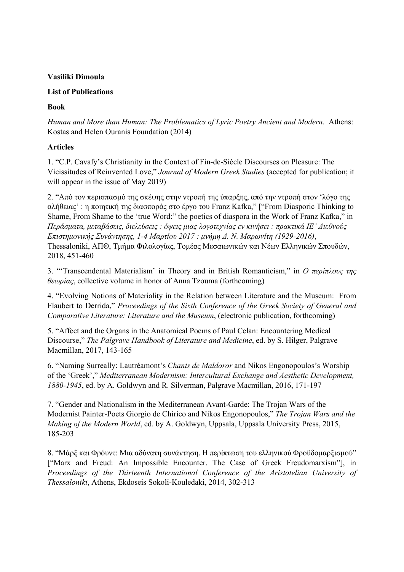### **Vasiliki Dimoula**

#### **List of Publications**

# **Book**

*Human and More than Human: The Problematics of Lyric Poetry Ancient and Modern*. Athens: Kostas and Helen Ouranis Foundation (2014)

# **Articles**

1. "C.P. Cavafy's Christianity in the Context of Fin-de-Siècle Discourses on Pleasure: The Vicissitudes of Reinvented Love," *Journal of Modern Greek Studies* (accepted for publication; it will appear in the issue of May 2019)

2. "Από τον περισπασμό της σκέψης στην ντροπή της ύπαρξης, από την ντροπή στον 'λόγο της αλήθειας' : η ποιητική της διασποράς στο έργο του Franz Kafka," ["From Diasporic Thinking to Shame, From Shame to the 'true Word:" the poetics of diaspora in the Work of Franz Kafka," in *Περάσματα, μεταβάσεις, διελεύσεις : όψεις μιας λογοτεχνίας εν κινήσει : πρακτικά ΙΕ' Διεθνούς Επιστημονικής Συνάντησης, 1-4 Μαρτίου 2017 : μνήμη Δ. Ν. Μαρωνίτη (1929-2016)*, Thessaloniki, ΑΠΘ, Τμήμα Φιλολογίας, Τομέας Μεσαιωνικών και Νέων Ελληνικών Σπουδών, 2018, 451-460

3. "'Transcendental Materialism' in Theory and in British Romanticism," in *Ο περίπλους της θεωρίας*, collective volume in honor of Anna Tzouma (forthcoming)

4. "Evolving Notions of Materiality in the Relation between Literature and the Museum: From Flaubert to Derrida," *Proceedings of the Sixth Conference of the Greek Society of General and Comparative Literature: Literature and the Museum*, (electronic publication, forthcoming)

5. "Affect and the Organs in the Anatomical Poems of Paul Celan: Encountering Medical Discourse," *The Palgrave Handbook of Literature and Medicine*, ed. by S. Hilger, Palgrave Macmillan, 2017, 143-165

6. "Naming Surreally: Lautréamont's *Chants de Maldoror* and Nikos Engonopoulos's Worship of the 'Greek'," *Mediterranean Modernism: Intercultural Exchange and Aesthetic Development, 1880-1945*, ed. by A. Goldwyn and R. Silverman, Palgrave Macmillan, 2016, 171-197

7. "Gender and Nationalism in the Mediterranean Avant-Garde: The Trojan Wars of the Modernist Painter-Poets Giorgio de Chirico and Nikos Engonopoulos," *The Trojan Wars and the Making of the Modern World*, ed. by A. Goldwyn, Uppsala, Uppsala University Press, 2015, 185-203

8. "Μάρξ και Φρόυντ: Μια αδύνατη συνάντηση. Η περίπτωση του ελληνικού Φροϋδομαρξισμού" ["Marx and Freud: An Impossible Encounter. The Case of Greek Freudomarxism"], in *Proceedings of the Thirteenth International Conference of the Aristotelian University of Thessaloniki*, Athens, Ekdoseis Sokoli-Kouledaki, 2014, 302-313